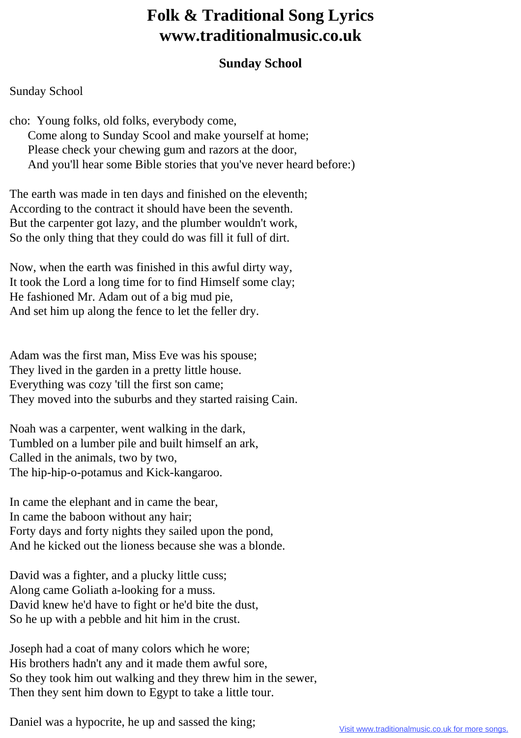## **Folk & Traditional Song Lyrics www.traditionalmusic.co.uk**

## **Sunday School**

## Sunday School

cho: Young folks, old folks, everybody come, Come along to Sunday Scool and make yourself at home; Please check your chewing gum and razors at the door, And you'll hear some Bible stories that you've never heard before:)

The earth was made in ten days and finished on the eleventh; According to the contract it should have been the seventh. But the carpenter got lazy, and the plumber wouldn't work, So the only thing that they could do was fill it full of dirt.

Now, when the earth was finished in this awful dirty way, It took the Lord a long time for to find Himself some clay; He fashioned Mr. Adam out of a big mud pie, And set him up along the fence to let the feller dry.

Adam was the first man, Miss Eve was his spouse; They lived in the garden in a pretty little house. Everything was cozy 'till the first son came; They moved into the suburbs and they started raising Cain.

Noah was a carpenter, went walking in the dark, Tumbled on a lumber pile and built himself an ark, Called in the animals, two by two, The hip-hip-o-potamus and Kick-kangaroo.

In came the elephant and in came the bear, In came the baboon without any hair; Forty days and forty nights they sailed upon the pond, And he kicked out the lioness because she was a blonde.

David was a fighter, and a plucky little cuss; Along came Goliath a-looking for a muss. David knew he'd have to fight or he'd bite the dust, So he up with a pebble and hit him in the crust.

Joseph had a coat of many colors which he wore; His brothers hadn't any and it made them awful sore, So they took him out walking and they threw him in the sewer, Then they sent him down to Egypt to take a little tour.

Daniel was a hypocrite, he up and sassed the king;